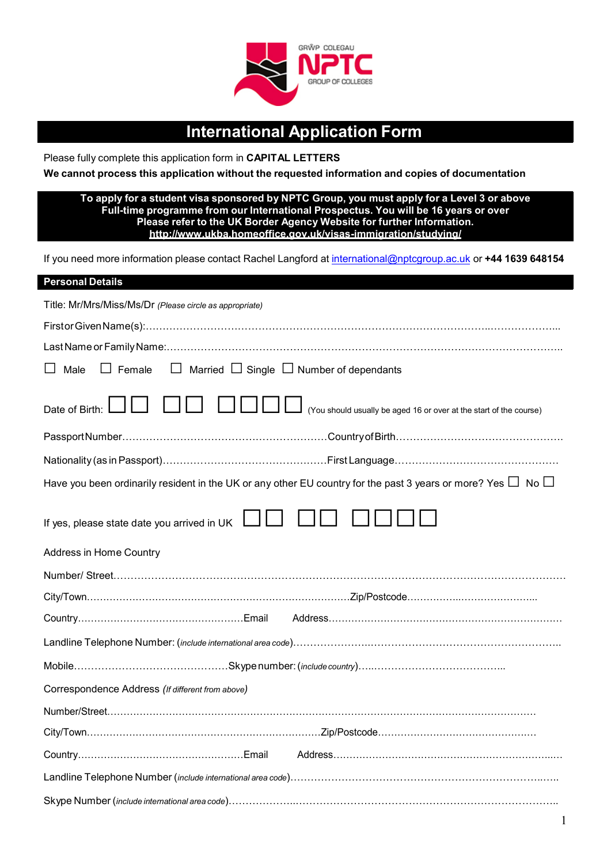

# **International Application Form**

Please fully complete this application form in **CAPITAL LETTERS**

**We cannot process this application without the requested information and copies of documentation**

#### **To apply for a student visa sponsored by NPTC Group, you must apply for a Level 3 or above Full-time programme from our International Prospectus. You will be 16 years or over Please refer to the UK Border Agency Website for further Information. <http://www.ukba.homeoffice.gov.uk/visas-immigration/studying/>**

If you need more information please contact Rachel Langford at [international@nptcgroup.ac.uk](mailto:international@nptcgroup.ac.uk) or **+44 1639 648154**

| <b>Personal Details</b>                                                                                                  |
|--------------------------------------------------------------------------------------------------------------------------|
| Title: Mr/Mrs/Miss/Ms/Dr (Please circle as appropriate)                                                                  |
|                                                                                                                          |
|                                                                                                                          |
| $\Box$ Female $\Box$ Married $\Box$ Single $\Box$ Number of dependants<br>$\Box$ Male                                    |
| (You should usually be aged 16 or over at the start of the course)<br>Date of Birth:                                     |
|                                                                                                                          |
|                                                                                                                          |
| Have you been ordinarily resident in the UK or any other EU country for the past 3 years or more? Yes $\Box\,$ No $\Box$ |
| If yes, please state date you arrived in UK $\Box$                                                                       |
| Address in Home Country                                                                                                  |
|                                                                                                                          |
|                                                                                                                          |
|                                                                                                                          |
|                                                                                                                          |
|                                                                                                                          |
| Correspondence Address (If different from above)                                                                         |
|                                                                                                                          |
|                                                                                                                          |
|                                                                                                                          |
|                                                                                                                          |
|                                                                                                                          |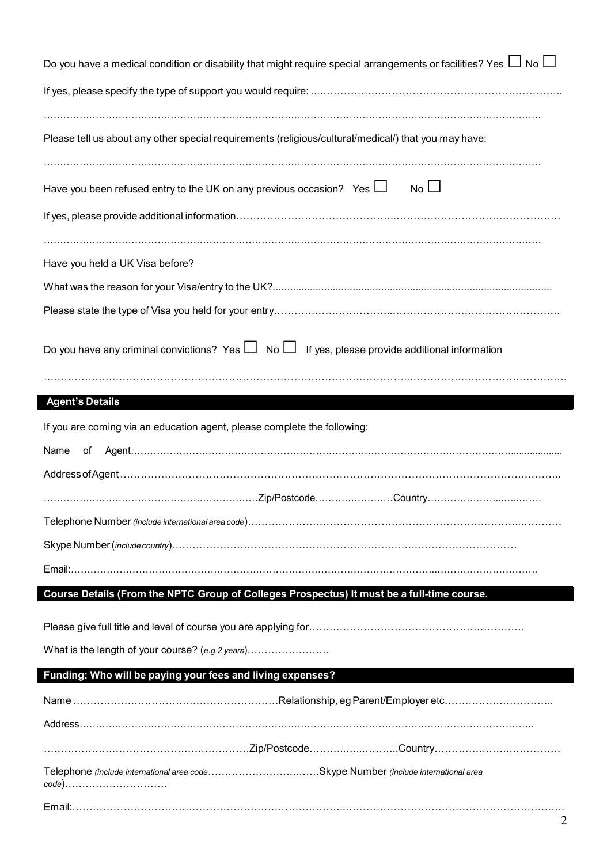| Do you have a medical condition or disability that might require special arrangements or facilities? Yes $\Box$ No $\Box$ |
|---------------------------------------------------------------------------------------------------------------------------|
|                                                                                                                           |
| Please tell us about any other special requirements (religious/cultural/medical/) that you may have:                      |
| $No$ $\Box$<br>Have you been refused entry to the UK on any previous occasion? Yes $\Box$                                 |
| Have you held a UK Visa before?                                                                                           |
|                                                                                                                           |
|                                                                                                                           |
| Do you have any criminal convictions? Yes $\Box$ No $\Box$ If yes, please provide additional information                  |
| <b>Agent's Details</b>                                                                                                    |
| If you are coming via an education agent, please complete the following:                                                  |
|                                                                                                                           |
|                                                                                                                           |
| Name<br>of                                                                                                                |
|                                                                                                                           |
|                                                                                                                           |
|                                                                                                                           |
|                                                                                                                           |
|                                                                                                                           |
| Course Details (From the NPTC Group of Colleges Prospectus) It must be a full-time course.                                |
|                                                                                                                           |
| What is the length of your course? (e.g 2 years)                                                                          |
| Funding: Who will be paying your fees and living expenses?                                                                |
|                                                                                                                           |
|                                                                                                                           |
|                                                                                                                           |
| Telephone (include international area codeSkype Number (include international area<br>code)                               |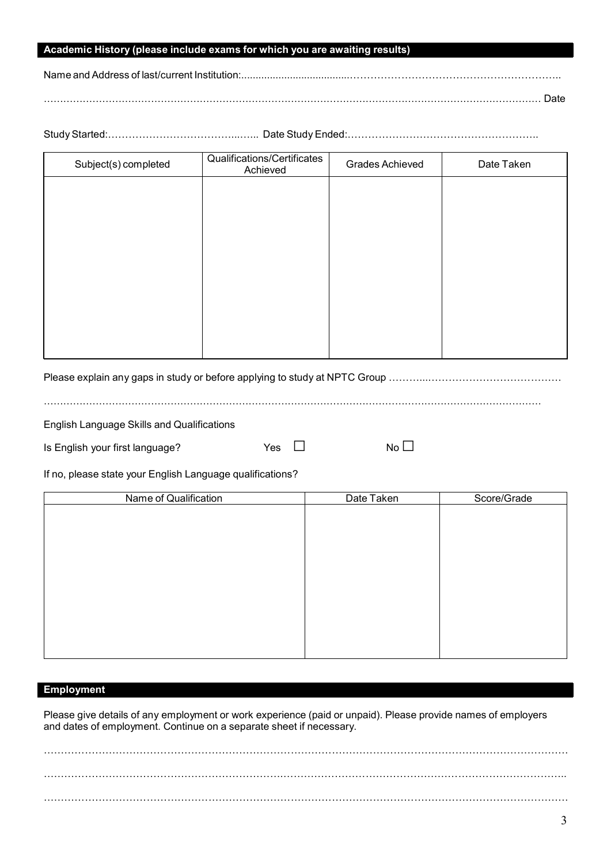## **Academic History (please include exams for which you are awaiting results)**

Name and Address of last/current Institution:...................................

……………………………………………………………………………………………………………………………………… Date

Study Started:………………………………...…... Date Study Ended:………………………………………………..

| Subject(s) completed | Qualifications/Certificates<br>Achieved | <b>Grades Achieved</b> | Date Taken |
|----------------------|-----------------------------------------|------------------------|------------|
|                      |                                         |                        |            |
|                      |                                         |                        |            |
|                      |                                         |                        |            |
|                      |                                         |                        |            |
|                      |                                         |                        |            |
|                      |                                         |                        |            |
|                      |                                         |                        |            |
|                      |                                         |                        |            |

Please explain any gaps in study or before applying to study at NPTC Group ………………………………………………

………………………………………………………………………………………………………………………………………

English Language Skills and Qualifications

Is English your first language? Yes □ No □

If no, please state your English Language qualifications?

| Name of Qualification | Date Taken | Score/Grade |
|-----------------------|------------|-------------|
|                       |            |             |
|                       |            |             |
|                       |            |             |
|                       |            |             |
|                       |            |             |
|                       |            |             |
|                       |            |             |
|                       |            |             |
|                       |            |             |
|                       |            |             |
|                       |            |             |
|                       |            |             |

## **Employment**

Please give details of any employment or work experience (paid or unpaid). Please provide names of employers and dates of employment. Continue on a separate sheet if necessary.

…………………………………………………………….……………………………………………………………………….. ………………………………………………………………………………………………………………………………………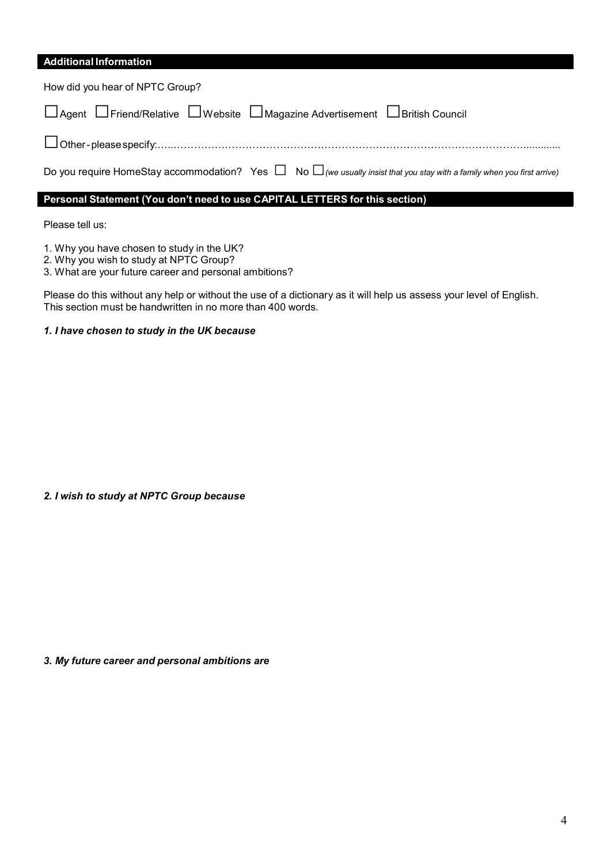# **Additional Information**

| How did you hear of NPTC Group?                                                                                                   |
|-----------------------------------------------------------------------------------------------------------------------------------|
| □ Agent □ Friend/Relative □ Website □ Magazine Advertisement □ British Council                                                    |
|                                                                                                                                   |
| Do you require HomeStay accommodation? Yes $\Box$ No $\Box$ (we usually insist that you stay with a family when you first arrive) |
| Personal Statement (You don't need to use CAPITAL LETTERS for this section)                                                       |
|                                                                                                                                   |

Please tell us:

1. Why you have chosen to study in the UK?

2. Why you wish to study at NPTC Group?

3. What are your future career and personal ambitions?

Please do this without any help or without the use of a dictionary as it will help us assess your level of English. This section must be handwritten in no more than 400 words.

## *1. I have chosen to study in the UK because*

## *2. I wish to study at NPTC Group because*

*3. My future career and personal ambitions are*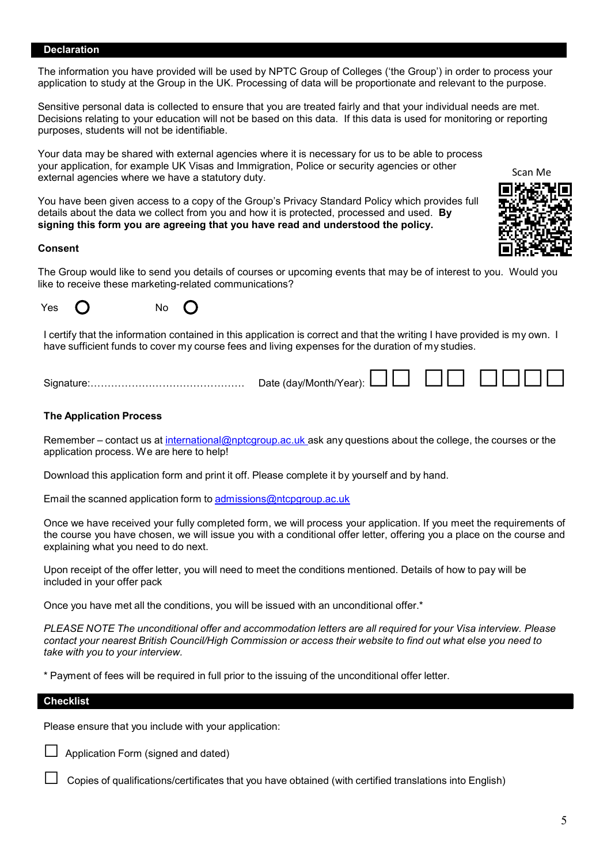#### **Declaration**

The information you have provided will be used by NPTC Group of Colleges ('the Group') in order to process your application to study at the Group in the UK. Processing of data will be proportionate and relevant to the purpose.

Sensitive personal data is collected to ensure that you are treated fairly and that your individual needs are met. Decisions relating to your education will not be based on this data. If this data is used for monitoring or reporting purposes, students will not be identifiable.

Your data may be shared with external agencies where it is necessary for us to be able to process your application, for example UK Visas and Immigration, Police or security agencies or other external agencies where we have a statutory duty.

You have been given access to a copy of the Group's Privacy Standard Policy which provides full details about the data we collect from you and how it is protected, processed and used. **By signing this form you are agreeing that you have read and understood the policy.**

#### **Consent**

The Group would like to send you details of courses or upcoming events that may be of interest to you. Would you like to receive these marketing-related communications?



I certify that the information contained in this application is correct and that the writing I have provided is my own. I have sufficient funds to cover my course fees and living expenses for the duration of my studies.

Signature:……………………………………… Date (day/Month/Year): □□ □□ □□□□

#### **The Application Process**

Remember – contact us at [international@nptcgroup.ac.uk](mailto:international@nptcgroup.ac.uk) ask any questions about the college, the courses or the application process. We are here to help!

Download this application form and print it off. Please complete it by yourself and by hand.

Email the scanned application form to [admissions@ntcpgroup.ac.uk](mailto:admissions@ntcpgroup.ac.uk)

Once we have received your fully completed form, we will process your application. If you meet the requirements of the course you have chosen, we will issue you with a conditional offer letter, offering you a place on the course and explaining what you need to do next.

Upon receipt of the offer letter, you will need to meet the conditions mentioned. Details of how to pay will be included in your offer pack

Once you have met all the conditions, you will be issued with an unconditional offer.\*

*PLEASE NOTE The unconditional offer and accommodation letters are all required for your Visa interview. Please contact your nearest British Council/High Commission or access their website to find out what else you need to take with you to your interview.*

\* Payment of fees will be required in full prior to the issuing of the unconditional offer letter.

#### **Checklist**

Please ensure that you include with your application:

Application Form (signed and dated)

Copies of qualifications/certificates that you have obtained (with certified translations into English)